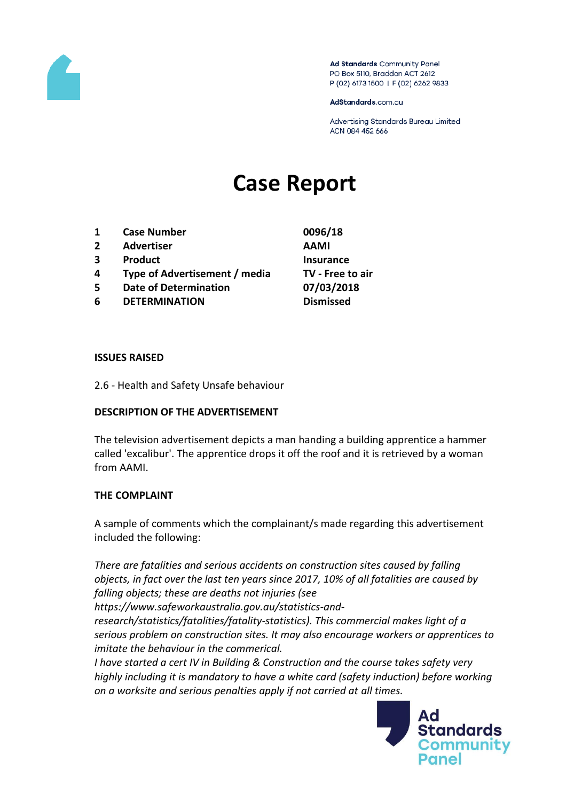

Ad Standards Community Panel PO Box 5110, Braddon ACT 2612 P (02) 6173 1500 | F (02) 6262 9833

AdStandards.com.au

Advertising Standards Bureau Limited ACN 084 452 666

# **Case Report**

- **1 Case Number 0096/18**
- **2 Advertiser AAMI**
- **3 Product Insurance**
- **4 Type of Advertisement / media TV - Free to air**
- **5 Date of Determination 07/03/2018**
- **6 DETERMINATION Dismissed**

#### **ISSUES RAISED**

2.6 - Health and Safety Unsafe behaviour

#### **DESCRIPTION OF THE ADVERTISEMENT**

The television advertisement depicts a man handing a building apprentice a hammer called 'excalibur'. The apprentice drops it off the roof and it is retrieved by a woman from AAMI.

#### **THE COMPLAINT**

A sample of comments which the complainant/s made regarding this advertisement included the following:

*There are fatalities and serious accidents on construction sites caused by falling objects, in fact over the last ten years since 2017, 10% of all fatalities are caused by falling objects; these are deaths not injuries (see* 

*https://www.safeworkaustralia.gov.au/statistics-and-*

*research/statistics/fatalities/fatality-statistics). This commercial makes light of a serious problem on construction sites. It may also encourage workers or apprentices to imitate the behaviour in the commerical.*

*I have started a cert IV in Building & Construction and the course takes safety very highly including it is mandatory to have a white card (safety induction) before working on a worksite and serious penalties apply if not carried at all times.*

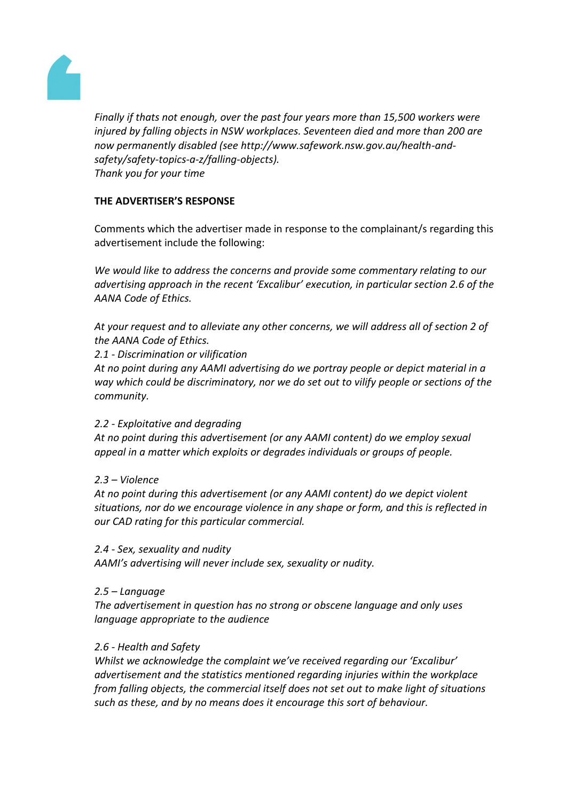

*Finally if thats not enough, over the past four years more than 15,500 workers were injured by falling objects in NSW workplaces. Seventeen died and more than 200 are now permanently disabled (see http://www.safework.nsw.gov.au/health-andsafety/safety-topics-a-z/falling-objects). Thank you for your time*

## **THE ADVERTISER'S RESPONSE**

Comments which the advertiser made in response to the complainant/s regarding this advertisement include the following:

*We would like to address the concerns and provide some commentary relating to our advertising approach in the recent 'Excalibur' execution, in particular section 2.6 of the AANA Code of Ethics.*

*At your request and to alleviate any other concerns, we will address all of section 2 of the AANA Code of Ethics.*

*2.1 - Discrimination or vilification*

*At no point during any AAMI advertising do we portray people or depict material in a way which could be discriminatory, nor we do set out to vilify people or sections of the community.*

## *2.2 - Exploitative and degrading*

*At no point during this advertisement (or any AAMI content) do we employ sexual appeal in a matter which exploits or degrades individuals or groups of people.*

*2.3 – Violence*

*At no point during this advertisement (or any AAMI content) do we depict violent situations, nor do we encourage violence in any shape or form, and this is reflected in our CAD rating for this particular commercial.*

*2.4 - Sex, sexuality and nudity*

*AAMI's advertising will never include sex, sexuality or nudity.*

## *2.5 – Language*

*The advertisement in question has no strong or obscene language and only uses language appropriate to the audience*

## *2.6 - Health and Safety*

*Whilst we acknowledge the complaint we've received regarding our 'Excalibur' advertisement and the statistics mentioned regarding injuries within the workplace from falling objects, the commercial itself does not set out to make light of situations such as these, and by no means does it encourage this sort of behaviour.*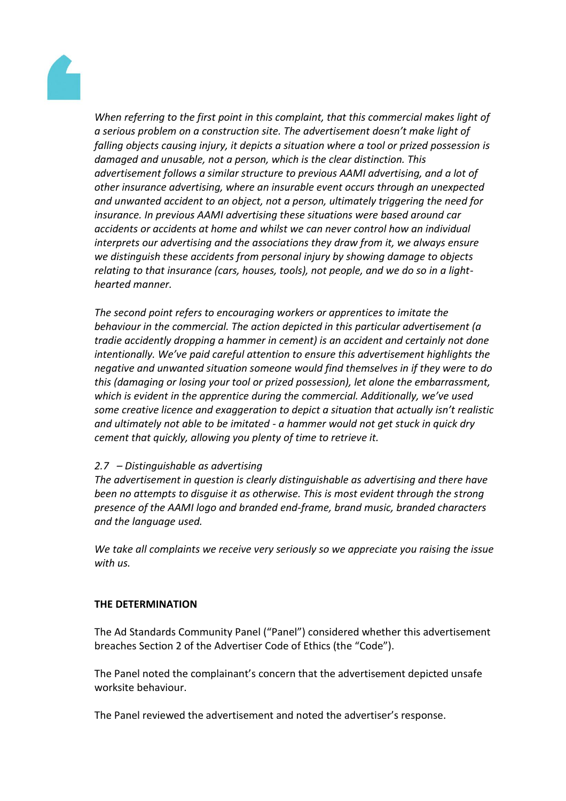

*When referring to the first point in this complaint, that this commercial makes light of a serious problem on a construction site. The advertisement doesn't make light of falling objects causing injury, it depicts a situation where a tool or prized possession is damaged and unusable, not a person, which is the clear distinction. This advertisement follows a similar structure to previous AAMI advertising, and a lot of other insurance advertising, where an insurable event occurs through an unexpected and unwanted accident to an object, not a person, ultimately triggering the need for insurance. In previous AAMI advertising these situations were based around car accidents or accidents at home and whilst we can never control how an individual interprets our advertising and the associations they draw from it, we always ensure we distinguish these accidents from personal injury by showing damage to objects relating to that insurance (cars, houses, tools), not people, and we do so in a lighthearted manner.*

*The second point refers to encouraging workers or apprentices to imitate the behaviour in the commercial. The action depicted in this particular advertisement (a tradie accidently dropping a hammer in cement) is an accident and certainly not done intentionally. We've paid careful attention to ensure this advertisement highlights the negative and unwanted situation someone would find themselves in if they were to do this (damaging or losing your tool or prized possession), let alone the embarrassment, which is evident in the apprentice during the commercial. Additionally, we've used some creative licence and exaggeration to depict a situation that actually isn't realistic and ultimately not able to be imitated - a hammer would not get stuck in quick dry cement that quickly, allowing you plenty of time to retrieve it.*

## *2.7 – Distinguishable as advertising*

*The advertisement in question is clearly distinguishable as advertising and there have been no attempts to disguise it as otherwise. This is most evident through the strong presence of the AAMI logo and branded end-frame, brand music, branded characters and the language used.*

*We take all complaints we receive very seriously so we appreciate you raising the issue with us.*

#### **THE DETERMINATION**

The Ad Standards Community Panel ("Panel") considered whether this advertisement breaches Section 2 of the Advertiser Code of Ethics (the "Code").

The Panel noted the complainant's concern that the advertisement depicted unsafe worksite behaviour.

The Panel reviewed the advertisement and noted the advertiser's response.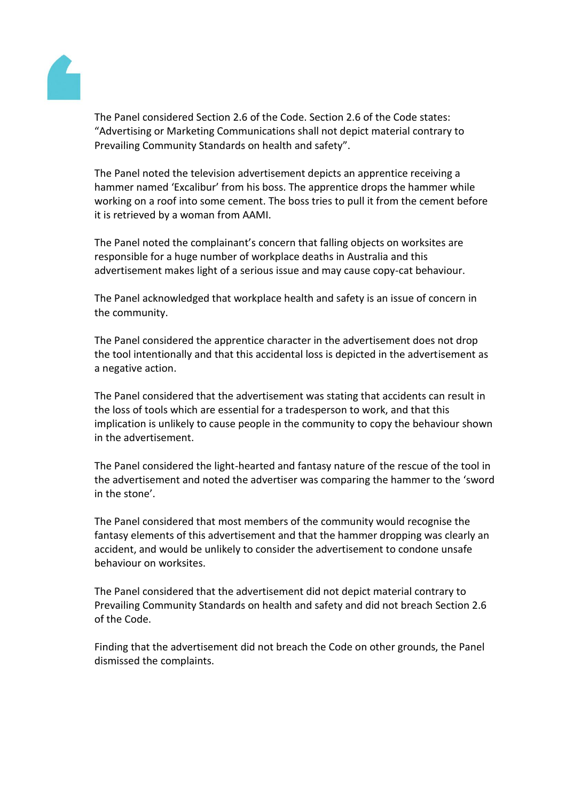

The Panel considered Section 2.6 of the Code. Section 2.6 of the Code states: "Advertising or Marketing Communications shall not depict material contrary to Prevailing Community Standards on health and safety".

The Panel noted the television advertisement depicts an apprentice receiving a hammer named 'Excalibur' from his boss. The apprentice drops the hammer while working on a roof into some cement. The boss tries to pull it from the cement before it is retrieved by a woman from AAMI.

The Panel noted the complainant's concern that falling objects on worksites are responsible for a huge number of workplace deaths in Australia and this advertisement makes light of a serious issue and may cause copy-cat behaviour.

The Panel acknowledged that workplace health and safety is an issue of concern in the community.

The Panel considered the apprentice character in the advertisement does not drop the tool intentionally and that this accidental loss is depicted in the advertisement as a negative action.

The Panel considered that the advertisement was stating that accidents can result in the loss of tools which are essential for a tradesperson to work, and that this implication is unlikely to cause people in the community to copy the behaviour shown in the advertisement.

The Panel considered the light-hearted and fantasy nature of the rescue of the tool in the advertisement and noted the advertiser was comparing the hammer to the 'sword in the stone'.

The Panel considered that most members of the community would recognise the fantasy elements of this advertisement and that the hammer dropping was clearly an accident, and would be unlikely to consider the advertisement to condone unsafe behaviour on worksites.

The Panel considered that the advertisement did not depict material contrary to Prevailing Community Standards on health and safety and did not breach Section 2.6 of the Code.

Finding that the advertisement did not breach the Code on other grounds, the Panel dismissed the complaints.